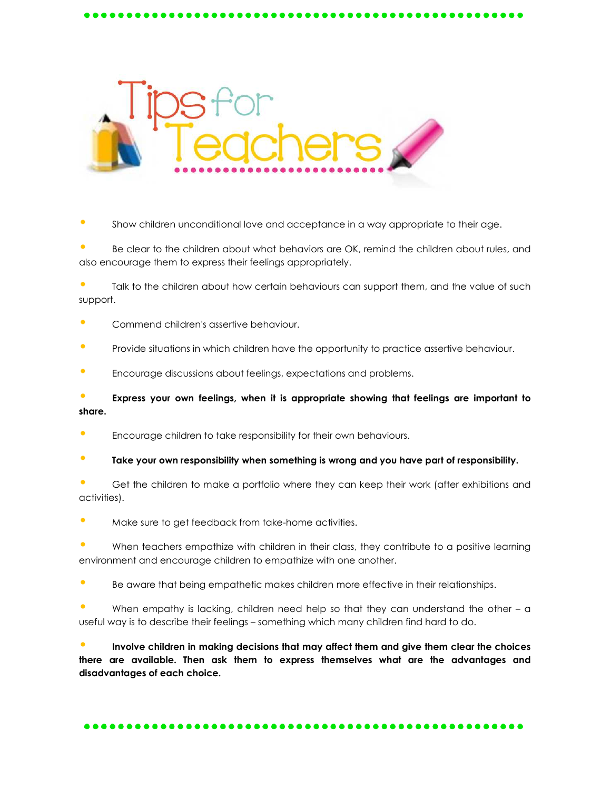

• Show children unconditional love and acceptance in a way appropriate to their age.

• Be clear to the children about what behaviors are OK, remind the children about rules, and also encourage them to express their feelings appropriately.

Talk to the children about how certain behaviours can support them, and the value of such support.

- Commend children's assertive behaviour.
- Provide situations in which children have the opportunity to practice assertive behaviour.
- Encourage discussions about feelings, expectations and problems.

• **Express your own feelings, when it is appropriate showing that feelings are important to share.**

- **•** Encourage children to take responsibility for their own behaviours.
- **Take your own responsibility when something is wrong and you have part of responsibility.**
- Get the children to make a portfolio where they can keep their work (after exhibitions and activities).
- Make sure to get feedback from take-home activities.

When teachers empathize with children in their class, they contribute to a positive learning environment and encourage children to empathize with one another.

• Be aware that being empathetic makes children more effective in their relationships.

When empathy is lacking, children need help so that they can understand the other  $-$  a useful way is to describe their feelings – something which many children find hard to do.

• **Involve children in making decisions that may affect them and give them clear the choices there are available. Then ask them to express themselves what are the advantages and disadvantages of each choice.**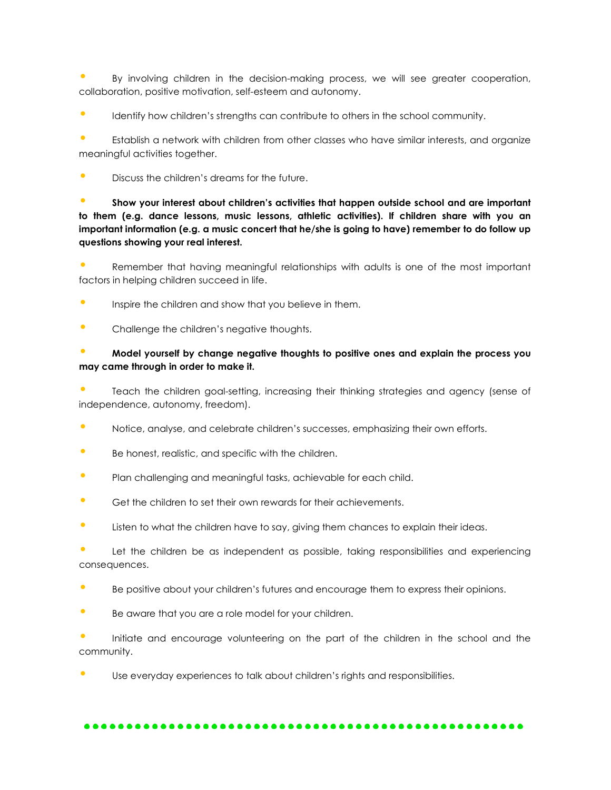• By involving children in the decision-making process, we will see greater cooperation, collaboration, positive motivation, self-esteem and autonomy.

**•** Identify how children's strengths can contribute to others in the school community.

• Establish a network with children from other classes who have similar interests, and organize meaningful activities together.

• Discuss the children's dreams for the future.

## • **Show your interest about children's activities that happen outside school and are important to them (e.g. dance lessons, music lessons, athletic activities). If children share with you an important information (e.g. a music concert that he/she is going to have) remember to do follow up questions showing your real interest.**

• Remember that having meaningful relationships with adults is one of the most important factors in helping children succeed in life.

- **•** Inspire the children and show that you believe in them.
- Challenge the children's negative thoughts.

## • **Model yourself by change negative thoughts to positive ones and explain the process you may came through in order to make it.**

• Teach the children goal-setting, increasing their thinking strategies and agency (sense of independence, autonomy, freedom).

- Notice, analyse, and celebrate children's successes, emphasizing their own efforts.
- Be honest, realistic, and specific with the children.
- Plan challenging and meaningful tasks, achievable for each child.
- Get the children to set their own rewards for their achievements.
- **•** Listen to what the children have to say, giving them chances to explain their ideas.

Let the children be as independent as possible, taking responsibilities and experiencing consequences.

- Be positive about your children's futures and encourage them to express their opinions.
- Be aware that you are a role model for your children.

• Initiate and encourage volunteering on the part of the children in the school and the community.

Use everyday experiences to talk about children's rights and responsibilities.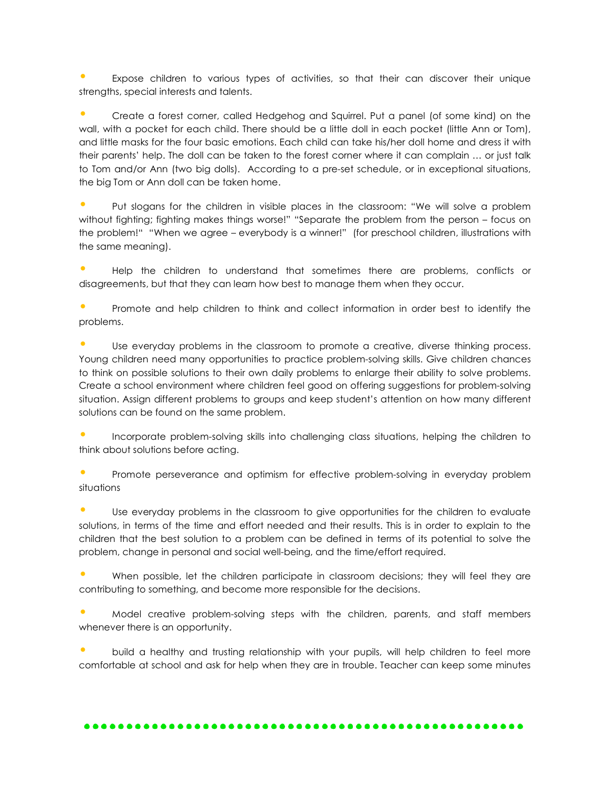• Expose children to various types of activities, so that their can discover their unique strengths, special interests and talents.

• Create a forest corner, called Hedgehog and Squirrel. Put a panel (of some kind) on the wall, with a pocket for each child. There should be a little doll in each pocket (little Ann or Tom), and little masks for the four basic emotions. Each child can take his/her doll home and dress it with their parents' help. The doll can be taken to the forest corner where it can complain … or just talk to Tom and/or Ann (two big dolls). According to a pre-set schedule, or in exceptional situations, the big Tom or Ann doll can be taken home.

• Put slogans for the children in visible places in the classroom: "We will solve a problem without fighting; fighting makes things worse!" "Separate the problem from the person – focus on the problem!" "When we agree – everybody is a winner!" (for preschool children, illustrations with the same meaning).

• Help the children to understand that sometimes there are problems, conflicts or disagreements, but that they can learn how best to manage them when they occur.

• Promote and help children to think and collect information in order best to identify the problems.

Use everyday problems in the classroom to promote a creative, diverse thinking process. Young children need many opportunities to practice problem-solving skills. Give children chances to think on possible solutions to their own daily problems to enlarge their ability to solve problems. Create a school environment where children feel good on offering suggestions for problem-solving situation. Assign different problems to groups and keep student's attention on how many different solutions can be found on the same problem.

• Incorporate problem-solving skills into challenging class situations, helping the children to think about solutions before acting.

• Promote perseverance and optimism for effective problem-solving in everyday problem situations

• Use everyday problems in the classroom to give opportunities for the children to evaluate solutions, in terms of the time and effort needed and their results. This is in order to explain to the children that the best solution to a problem can be defined in terms of its potential to solve the problem, change in personal and social well-being, and the time/effort required.

• When possible, let the children participate in classroom decisions; they will feel they are contributing to something, and become more responsible for the decisions.

• Model creative problem-solving steps with the children, parents, and staff members whenever there is an opportunity.

• build a healthy and trusting relationship with your pupils, will help children to feel more comfortable at school and ask for help when they are in trouble. Teacher can keep some minutes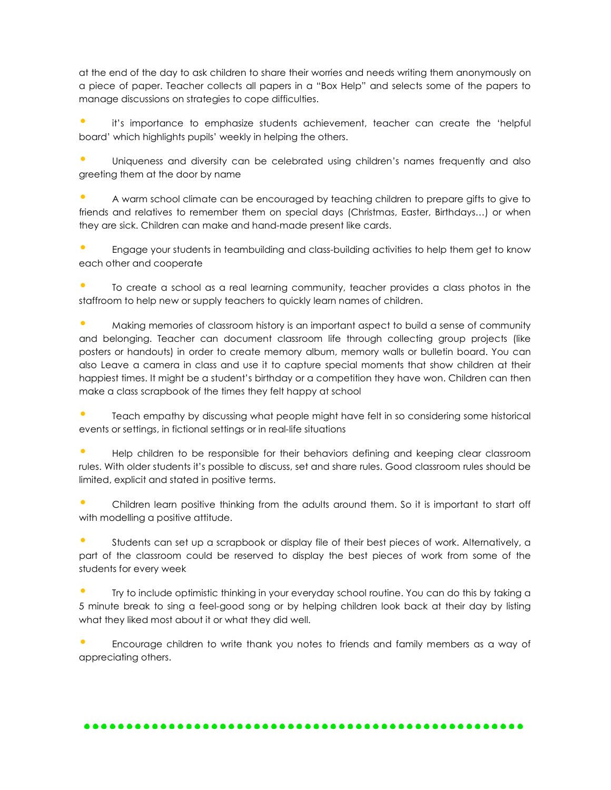at the end of the day to ask children to share their worries and needs writing them anonymously on a piece of paper. Teacher collects all papers in a "Box Help" and selects some of the papers to manage discussions on strategies to cope difficulties.

• it's importance to emphasize students achievement, teacher can create the 'helpful board' which highlights pupils' weekly in helping the others.

• Uniqueness and diversity can be celebrated using children's names frequently and also greeting them at the door by name

• A warm school climate can be encouraged by teaching children to prepare gifts to give to friends and relatives to remember them on special days (Christmas, Easter, Birthdays…) or when they are sick. Children can make and hand-made present like cards.

• Engage your students in teambuilding and class-building activities to help them get to know each other and cooperate

• To create a school as a real learning community, teacher provides a class photos in the staffroom to help new or supply teachers to quickly learn names of children.

• Making memories of classroom history is an important aspect to build a sense of community and belonging. Teacher can document classroom life through collecting group projects (like posters or handouts) in order to create memory album, memory walls or bulletin board. You can also Leave a camera in class and use it to capture special moments that show children at their happiest times. It might be a student's birthday or a competition they have won. Children can then make a class scrapbook of the times they felt happy at school

• Teach empathy by discussing what people might have felt in so considering some historical events or settings, in fictional settings or in real-life situations

• Help children to be responsible for their behaviors defining and keeping clear classroom rules. With older students it's possible to discuss, set and share rules. Good classroom rules should be limited, explicit and stated in positive terms.

• Children learn positive thinking from the adults around them. So it is important to start off with modelling a positive attitude.

• Students can set up a scrapbook or display file of their best pieces of work. Alternatively, a part of the classroom could be reserved to display the best pieces of work from some of the students for every week

• Try to include optimistic thinking in your everyday school routine. You can do this by taking a 5 minute break to sing a feel-good song or by helping children look back at their day by listing what they liked most about it or what they did well.

• Encourage children to write thank you notes to friends and family members as a way of appreciating others.